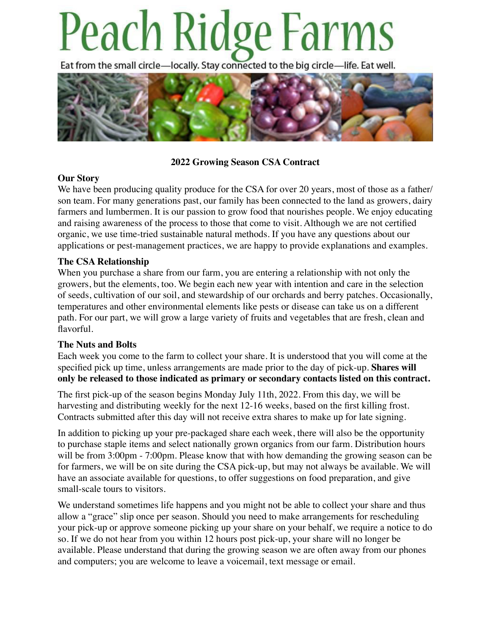# Peach Ridge Farms

Eat from the small circle-locally. Stay connected to the big circle-life. Eat well.



# **2022 Growing Season CSA Contract**

# **Our Story**

We have been producing quality produce for the CSA for over 20 years, most of those as a father/ son team. For many generations past, our family has been connected to the land as growers, dairy farmers and lumbermen. It is our passion to grow food that nourishes people. We enjoy educating and raising awareness of the process to those that come to visit. Although we are not certified organic, we use time-tried sustainable natural methods. If you have any questions about our applications or pest-management practices, we are happy to provide explanations and examples.

# **The CSA Relationship**

When you purchase a share from our farm, you are entering a relationship with not only the growers, but the elements, too. We begin each new year with intention and care in the selection of seeds, cultivation of our soil, and stewardship of our orchards and berry patches. Occasionally, temperatures and other environmental elements like pests or disease can take us on a different path. For our part, we will grow a large variety of fruits and vegetables that are fresh, clean and flavorful.

### **The Nuts and Bolts**

Each week you come to the farm to collect your share. It is understood that you will come at the specified pick up time, unless arrangements are made prior to the day of pick-up. **Shares will only be released to those indicated as primary or secondary contacts listed on this contract.**

The first pick-up of the season begins Monday July 11th, 2022. From this day, we will be harvesting and distributing weekly for the next 12-16 weeks, based on the first killing frost. Contracts submitted after this day will not receive extra shares to make up for late signing.

In addition to picking up your pre-packaged share each week, there will also be the opportunity to purchase staple items and select nationally grown organics from our farm. Distribution hours will be from 3:00pm - 7:00pm. Please know that with how demanding the growing season can be for farmers, we will be on site during the CSA pick-up, but may not always be available. We will have an associate available for questions, to offer suggestions on food preparation, and give small-scale tours to visitors.

We understand sometimes life happens and you might not be able to collect your share and thus allow a "grace" slip once per season. Should you need to make arrangements for rescheduling your pick-up or approve someone picking up your share on your behalf, we require a notice to do so. If we do not hear from you within 12 hours post pick-up, your share will no longer be available. Please understand that during the growing season we are often away from our phones and computers; you are welcome to leave a voicemail, text message or email.